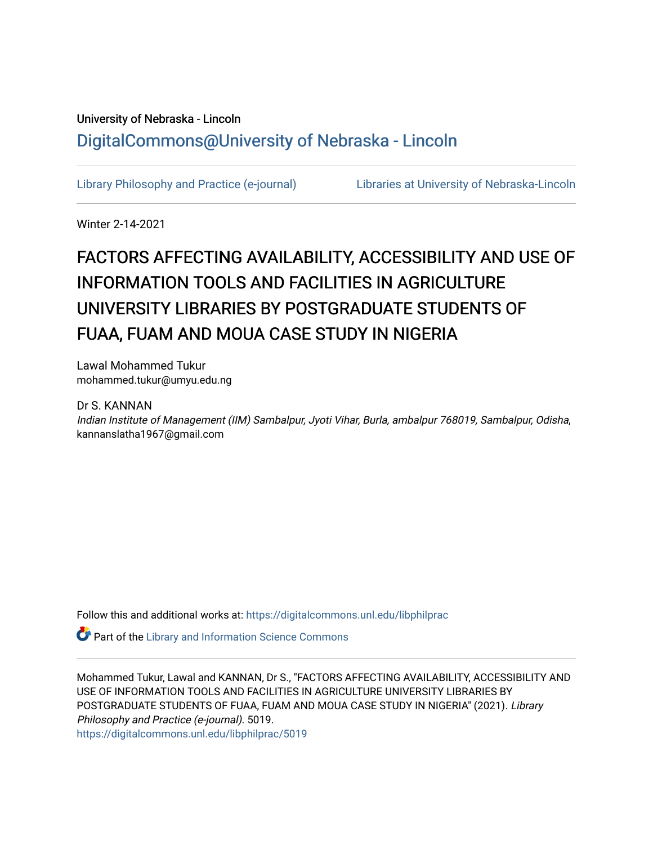# University of Nebraska - Lincoln [DigitalCommons@University of Nebraska - Lincoln](https://digitalcommons.unl.edu/)

[Library Philosophy and Practice \(e-journal\)](https://digitalcommons.unl.edu/libphilprac) [Libraries at University of Nebraska-Lincoln](https://digitalcommons.unl.edu/libraries) 

Winter 2-14-2021

# FACTORS AFFECTING AVAILABILITY, ACCESSIBILITY AND USE OF INFORMATION TOOLS AND FACILITIES IN AGRICULTURE UNIVERSITY LIBRARIES BY POSTGRADUATE STUDENTS OF FUAA, FUAM AND MOUA CASE STUDY IN NIGERIA

Lawal Mohammed Tukur mohammed.tukur@umyu.edu.ng

#### Dr S. KANNAN

Indian Institute of Management (IIM) Sambalpur, Jyoti Vihar, Burla, ambalpur 768019, Sambalpur, Odisha, kannanslatha1967@gmail.com

Follow this and additional works at: [https://digitalcommons.unl.edu/libphilprac](https://digitalcommons.unl.edu/libphilprac?utm_source=digitalcommons.unl.edu%2Flibphilprac%2F5019&utm_medium=PDF&utm_campaign=PDFCoverPages) 

**P** Part of the Library and Information Science Commons

Mohammed Tukur, Lawal and KANNAN, Dr S., "FACTORS AFFECTING AVAILABILITY, ACCESSIBILITY AND USE OF INFORMATION TOOLS AND FACILITIES IN AGRICULTURE UNIVERSITY LIBRARIES BY POSTGRADUATE STUDENTS OF FUAA, FUAM AND MOUA CASE STUDY IN NIGERIA" (2021). Library Philosophy and Practice (e-journal). 5019.

[https://digitalcommons.unl.edu/libphilprac/5019](https://digitalcommons.unl.edu/libphilprac/5019?utm_source=digitalcommons.unl.edu%2Flibphilprac%2F5019&utm_medium=PDF&utm_campaign=PDFCoverPages)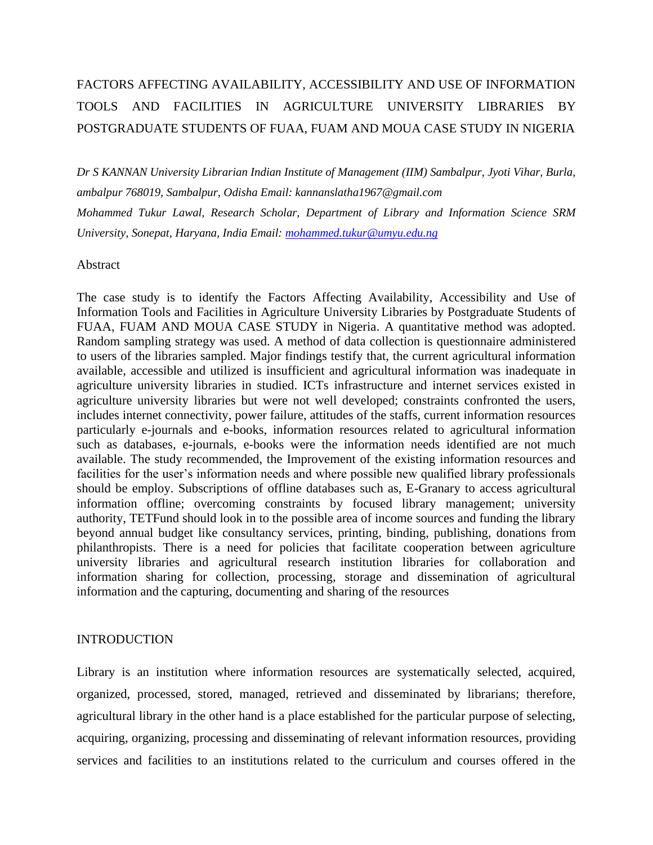# FACTORS AFFECTING AVAILABILITY, ACCESSIBILITY AND USE OF INFORMATION TOOLS AND FACILITIES IN AGRICULTURE UNIVERSITY LIBRARIES BY POSTGRADUATE STUDENTS OF FUAA, FUAM AND MOUA CASE STUDY IN NIGERIA

*Dr S KANNAN University Librarian Indian Institute of Management (IIM) Sambalpur, Jyoti Vihar, Burla, ambalpur 768019, Sambalpur, Odisha Email: kannanslatha1967@gmail.com Mohammed Tukur Lawal, Research Scholar, Department of Library and Information Science SRM University, Sonepat, Haryana, India Email: [mohammed.tukur@umyu.edu.ng](mailto:mohammed.tukur@umyu.edu.ng)*

#### Abstract

The case study is to identify the Factors Affecting Availability, Accessibility and Use of Information Tools and Facilities in Agriculture University Libraries by Postgraduate Students of FUAA, FUAM AND MOUA CASE STUDY in Nigeria. A quantitative method was adopted. Random sampling strategy was used. A method of data collection is questionnaire administered to users of the libraries sampled. Major findings testify that, the current agricultural information available, accessible and utilized is insufficient and agricultural information was inadequate in agriculture university libraries in studied. ICTs infrastructure and internet services existed in agriculture university libraries but were not well developed; constraints confronted the users, includes internet connectivity, power failure, attitudes of the staffs, current information resources particularly e-journals and e-books, information resources related to agricultural information such as databases, e-journals, e-books were the information needs identified are not much available. The study recommended, the Improvement of the existing information resources and facilities for the user's information needs and where possible new qualified library professionals should be employ. Subscriptions of offline databases such as, E-Granary to access agricultural information offline; overcoming constraints by focused library management; university authority, TETFund should look in to the possible area of income sources and funding the library beyond annual budget like consultancy services, printing, binding, publishing, donations from philanthropists. There is a need for policies that facilitate cooperation between agriculture university libraries and agricultural research institution libraries for collaboration and information sharing for collection, processing, storage and dissemination of agricultural information and the capturing, documenting and sharing of the resources

#### INTRODUCTION

Library is an institution where information resources are systematically selected, acquired, organized, processed, stored, managed, retrieved and disseminated by librarians; therefore, agricultural library in the other hand is a place established for the particular purpose of selecting, acquiring, organizing, processing and disseminating of relevant information resources, providing services and facilities to an institutions related to the curriculum and courses offered in the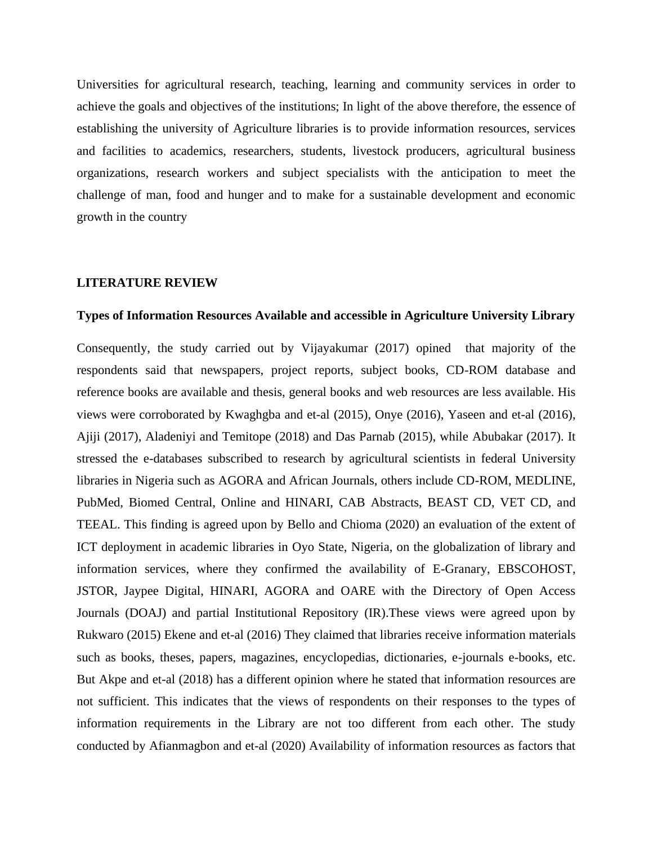Universities for agricultural research, teaching, learning and community services in order to achieve the goals and objectives of the institutions; In light of the above therefore, the essence of establishing the university of Agriculture libraries is to provide information resources, services and facilities to academics, researchers, students, livestock producers, agricultural business organizations, research workers and subject specialists with the anticipation to meet the challenge of man, food and hunger and to make for a sustainable development and economic growth in the country

#### **LITERATURE REVIEW**

#### **Types of Information Resources Available and accessible in Agriculture University Library**

Consequently, the study carried out by Vijayakumar (2017) opined that majority of the respondents said that newspapers, project reports, subject books, CD-ROM database and reference books are available and thesis, general books and web resources are less available. His views were corroborated by Kwaghgba and et-al (2015), Onye (2016), Yaseen and et-al (2016), Ajiji (2017), Aladeniyi and Temitope (2018) and Das Parnab (2015), while Abubakar (2017). It stressed the e-databases subscribed to research by agricultural scientists in federal University libraries in Nigeria such as AGORA and African Journals, others include CD-ROM, MEDLINE, PubMed, Biomed Central, Online and HINARI, CAB Abstracts, BEAST CD, VET CD, and TEEAL. This finding is agreed upon by Bello and Chioma (2020) an evaluation of the extent of ICT deployment in academic libraries in Oyo State, Nigeria, on the globalization of library and information services, where they confirmed the availability of E-Granary, EBSCOHOST, JSTOR, Jaypee Digital, HINARI, AGORA and OARE with the Directory of Open Access Journals (DOAJ) and partial Institutional Repository (IR).These views were agreed upon by Rukwaro (2015) Ekene and et-al (2016) They claimed that libraries receive information materials such as books, theses, papers, magazines, encyclopedias, dictionaries, e-journals e-books, etc. But Akpe and et-al (2018) has a different opinion where he stated that information resources are not sufficient. This indicates that the views of respondents on their responses to the types of information requirements in the Library are not too different from each other. The study conducted by Afianmagbon and et-al (2020) Availability of information resources as factors that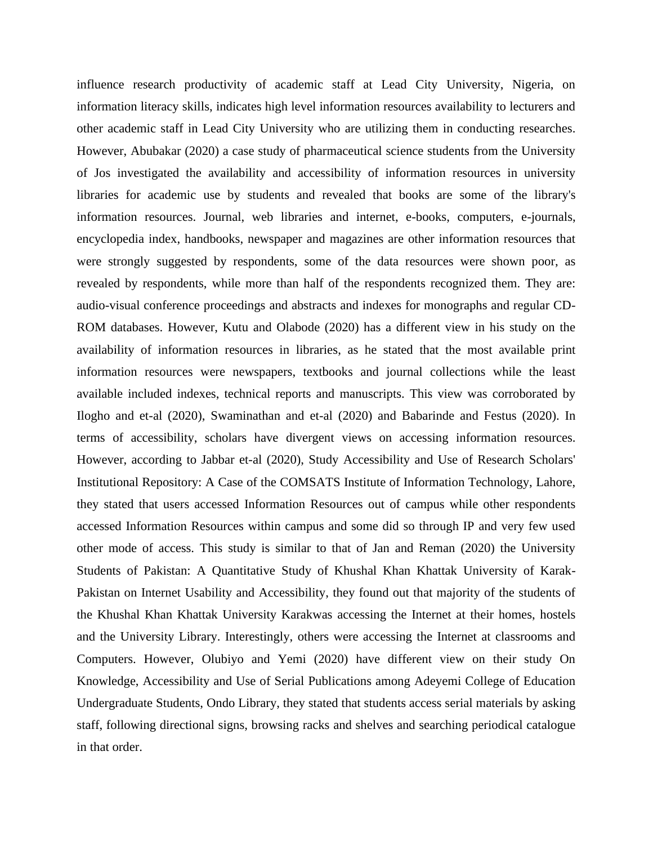influence research productivity of academic staff at Lead City University, Nigeria, on information literacy skills, indicates high level information resources availability to lecturers and other academic staff in Lead City University who are utilizing them in conducting researches. However, Abubakar (2020) a case study of pharmaceutical science students from the University of Jos investigated the availability and accessibility of information resources in university libraries for academic use by students and revealed that books are some of the library's information resources. Journal, web libraries and internet, e-books, computers, e-journals, encyclopedia index, handbooks, newspaper and magazines are other information resources that were strongly suggested by respondents, some of the data resources were shown poor, as revealed by respondents, while more than half of the respondents recognized them. They are: audio-visual conference proceedings and abstracts and indexes for monographs and regular CD-ROM databases. However, Kutu and Olabode (2020) has a different view in his study on the availability of information resources in libraries, as he stated that the most available print information resources were newspapers, textbooks and journal collections while the least available included indexes, technical reports and manuscripts. This view was corroborated by Ilogho and et-al (2020), Swaminathan and et-al (2020) and Babarinde and Festus (2020). In terms of accessibility, scholars have divergent views on accessing information resources. However, according to Jabbar et-al (2020), Study Accessibility and Use of Research Scholars' Institutional Repository: A Case of the COMSATS Institute of Information Technology, Lahore, they stated that users accessed Information Resources out of campus while other respondents accessed Information Resources within campus and some did so through IP and very few used other mode of access. This study is similar to that of Jan and Reman (2020) the University Students of Pakistan: A Quantitative Study of Khushal Khan Khattak University of Karak-Pakistan on Internet Usability and Accessibility, they found out that majority of the students of the Khushal Khan Khattak University Karakwas accessing the Internet at their homes, hostels and the University Library. Interestingly, others were accessing the Internet at classrooms and Computers. However, Olubiyo and Yemi (2020) have different view on their study On Knowledge, Accessibility and Use of Serial Publications among Adeyemi College of Education Undergraduate Students, Ondo Library, they stated that students access serial materials by asking staff, following directional signs, browsing racks and shelves and searching periodical catalogue in that order.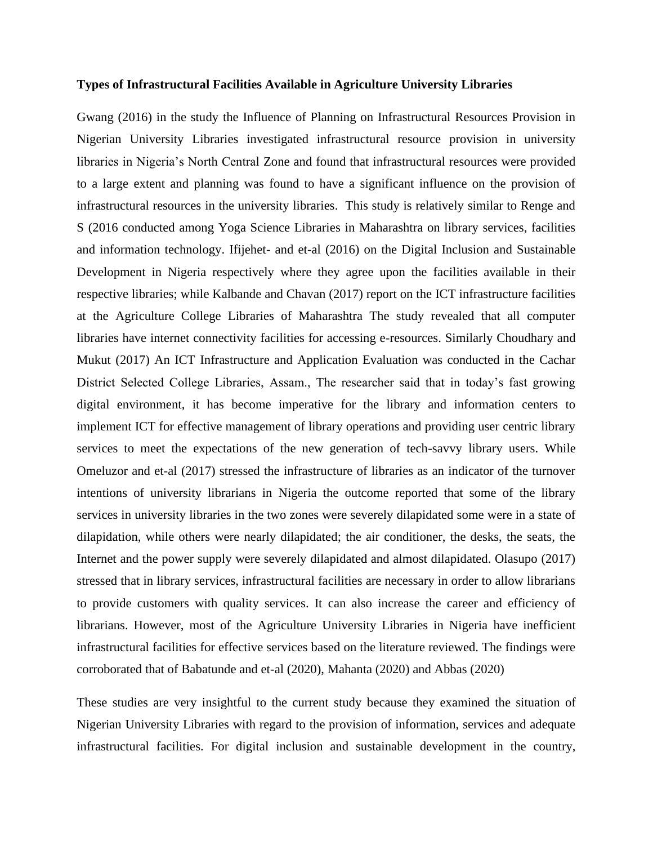#### **Types of Infrastructural Facilities Available in Agriculture University Libraries**

Gwang (2016) in the study the Influence of Planning on Infrastructural Resources Provision in Nigerian University Libraries investigated infrastructural resource provision in university libraries in Nigeria's North Central Zone and found that infrastructural resources were provided to a large extent and planning was found to have a significant influence on the provision of infrastructural resources in the university libraries. This study is relatively similar to Renge and S (2016 conducted among Yoga Science Libraries in Maharashtra on library services, facilities and information technology. Ifijehet- and et-al (2016) on the Digital Inclusion and Sustainable Development in Nigeria respectively where they agree upon the facilities available in their respective libraries; while Kalbande and Chavan (2017) report on the ICT infrastructure facilities at the Agriculture College Libraries of Maharashtra The study revealed that all computer libraries have internet connectivity facilities for accessing e-resources. Similarly Choudhary and Mukut (2017) An ICT Infrastructure and Application Evaluation was conducted in the Cachar District Selected College Libraries, Assam., The researcher said that in today's fast growing digital environment, it has become imperative for the library and information centers to implement ICT for effective management of library operations and providing user centric library services to meet the expectations of the new generation of tech-savvy library users. While Omeluzor and et-al (2017) stressed the infrastructure of libraries as an indicator of the turnover intentions of university librarians in Nigeria the outcome reported that some of the library services in university libraries in the two zones were severely dilapidated some were in a state of dilapidation, while others were nearly dilapidated; the air conditioner, the desks, the seats, the Internet and the power supply were severely dilapidated and almost dilapidated. Olasupo (2017) stressed that in library services, infrastructural facilities are necessary in order to allow librarians to provide customers with quality services. It can also increase the career and efficiency of librarians. However, most of the Agriculture University Libraries in Nigeria have inefficient infrastructural facilities for effective services based on the literature reviewed. The findings were corroborated that of Babatunde and et-al (2020), Mahanta (2020) and Abbas (2020)

These studies are very insightful to the current study because they examined the situation of Nigerian University Libraries with regard to the provision of information, services and adequate infrastructural facilities. For digital inclusion and sustainable development in the country,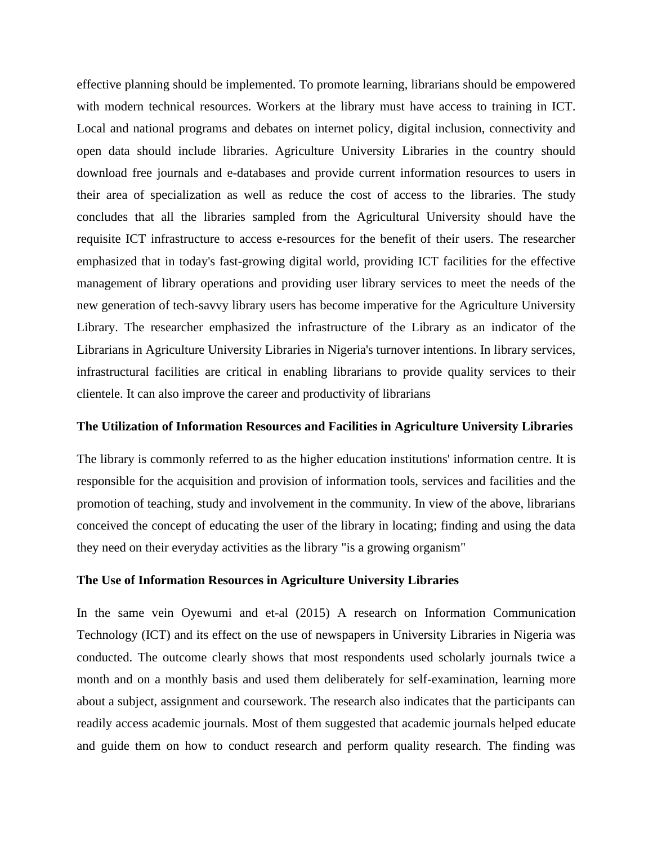effective planning should be implemented. To promote learning, librarians should be empowered with modern technical resources. Workers at the library must have access to training in ICT. Local and national programs and debates on internet policy, digital inclusion, connectivity and open data should include libraries. Agriculture University Libraries in the country should download free journals and e-databases and provide current information resources to users in their area of specialization as well as reduce the cost of access to the libraries. The study concludes that all the libraries sampled from the Agricultural University should have the requisite ICT infrastructure to access e-resources for the benefit of their users. The researcher emphasized that in today's fast-growing digital world, providing ICT facilities for the effective management of library operations and providing user library services to meet the needs of the new generation of tech-savvy library users has become imperative for the Agriculture University Library. The researcher emphasized the infrastructure of the Library as an indicator of the Librarians in Agriculture University Libraries in Nigeria's turnover intentions. In library services, infrastructural facilities are critical in enabling librarians to provide quality services to their clientele. It can also improve the career and productivity of librarians

#### **The Utilization of Information Resources and Facilities in Agriculture University Libraries**

The library is commonly referred to as the higher education institutions' information centre. It is responsible for the acquisition and provision of information tools, services and facilities and the promotion of teaching, study and involvement in the community. In view of the above, librarians conceived the concept of educating the user of the library in locating; finding and using the data they need on their everyday activities as the library "is a growing organism"

#### **The Use of Information Resources in Agriculture University Libraries**

In the same vein Oyewumi and et-al (2015) A research on Information Communication Technology (ICT) and its effect on the use of newspapers in University Libraries in Nigeria was conducted. The outcome clearly shows that most respondents used scholarly journals twice a month and on a monthly basis and used them deliberately for self-examination, learning more about a subject, assignment and coursework. The research also indicates that the participants can readily access academic journals. Most of them suggested that academic journals helped educate and guide them on how to conduct research and perform quality research. The finding was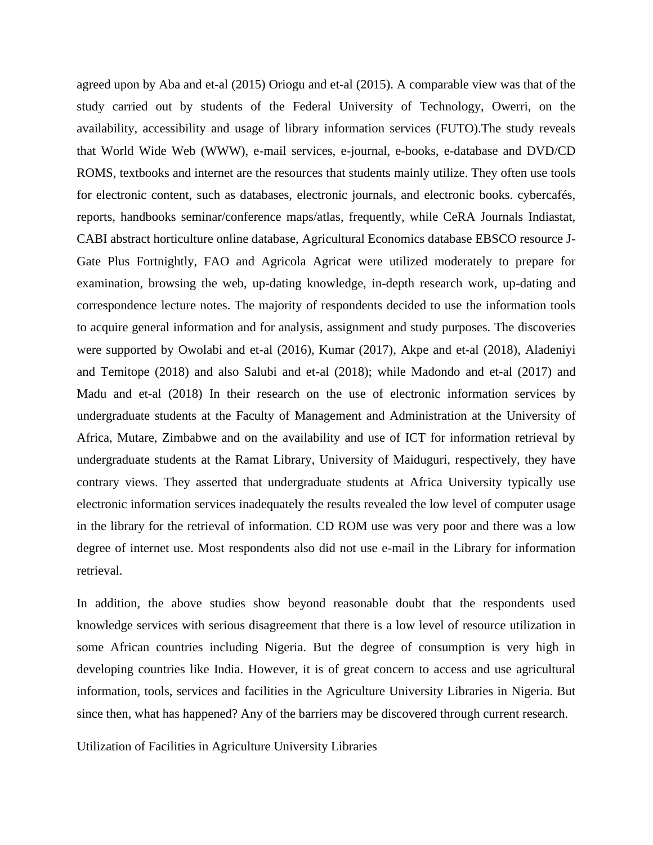agreed upon by Aba and et-al (2015) Oriogu and et-al (2015). A comparable view was that of the study carried out by students of the Federal University of Technology, Owerri, on the availability, accessibility and usage of library information services (FUTO).The study reveals that World Wide Web (WWW), e-mail services, e-journal, e-books, e-database and DVD/CD ROMS, textbooks and internet are the resources that students mainly utilize. They often use tools for electronic content, such as databases, electronic journals, and electronic books. cybercafés, reports, handbooks seminar/conference maps/atlas, frequently, while CeRA Journals Indiastat, CABI abstract horticulture online database, Agricultural Economics database EBSCO resource J-Gate Plus Fortnightly, FAO and Agricola Agricat were utilized moderately to prepare for examination, browsing the web, up-dating knowledge, in-depth research work, up-dating and correspondence lecture notes. The majority of respondents decided to use the information tools to acquire general information and for analysis, assignment and study purposes. The discoveries were supported by Owolabi and et-al (2016), Kumar (2017), Akpe and et-al (2018), Aladeniyi and Temitope (2018) and also Salubi and et-al (2018); while Madondo and et-al (2017) and Madu and et-al (2018) In their research on the use of electronic information services by undergraduate students at the Faculty of Management and Administration at the University of Africa, Mutare, Zimbabwe and on the availability and use of ICT for information retrieval by undergraduate students at the Ramat Library, University of Maiduguri, respectively, they have contrary views. They asserted that undergraduate students at Africa University typically use electronic information services inadequately the results revealed the low level of computer usage in the library for the retrieval of information. CD ROM use was very poor and there was a low degree of internet use. Most respondents also did not use e-mail in the Library for information retrieval.

In addition, the above studies show beyond reasonable doubt that the respondents used knowledge services with serious disagreement that there is a low level of resource utilization in some African countries including Nigeria. But the degree of consumption is very high in developing countries like India. However, it is of great concern to access and use agricultural information, tools, services and facilities in the Agriculture University Libraries in Nigeria. But since then, what has happened? Any of the barriers may be discovered through current research.

Utilization of Facilities in Agriculture University Libraries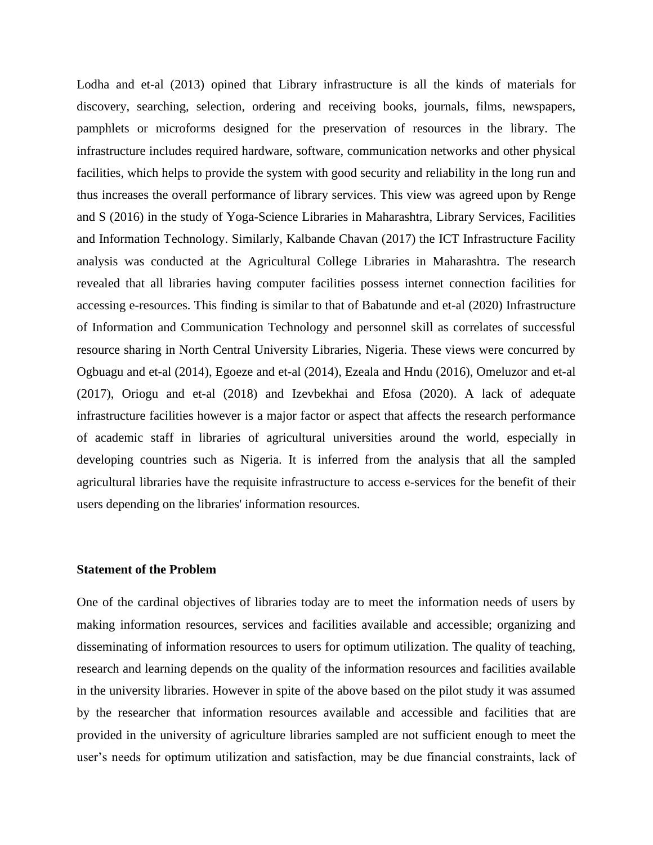Lodha and et-al (2013) opined that Library infrastructure is all the kinds of materials for discovery, searching, selection, ordering and receiving books, journals, films, newspapers, pamphlets or microforms designed for the preservation of resources in the library. The infrastructure includes required hardware, software, communication networks and other physical facilities, which helps to provide the system with good security and reliability in the long run and thus increases the overall performance of library services. This view was agreed upon by Renge and S (2016) in the study of Yoga-Science Libraries in Maharashtra, Library Services, Facilities and Information Technology. Similarly, Kalbande Chavan (2017) the ICT Infrastructure Facility analysis was conducted at the Agricultural College Libraries in Maharashtra. The research revealed that all libraries having computer facilities possess internet connection facilities for accessing e-resources. This finding is similar to that of Babatunde and et-al (2020) Infrastructure of Information and Communication Technology and personnel skill as correlates of successful resource sharing in North Central University Libraries, Nigeria. These views were concurred by Ogbuagu and et-al (2014), Egoeze and et-al (2014), Ezeala and Hndu (2016), Omeluzor and et-al (2017), Oriogu and et-al (2018) and Izevbekhai and Efosa (2020). A lack of adequate infrastructure facilities however is a major factor or aspect that affects the research performance of academic staff in libraries of agricultural universities around the world, especially in developing countries such as Nigeria. It is inferred from the analysis that all the sampled agricultural libraries have the requisite infrastructure to access e-services for the benefit of their users depending on the libraries' information resources.

#### **Statement of the Problem**

One of the cardinal objectives of libraries today are to meet the information needs of users by making information resources, services and facilities available and accessible; organizing and disseminating of information resources to users for optimum utilization. The quality of teaching, research and learning depends on the quality of the information resources and facilities available in the university libraries. However in spite of the above based on the pilot study it was assumed by the researcher that information resources available and accessible and facilities that are provided in the university of agriculture libraries sampled are not sufficient enough to meet the user's needs for optimum utilization and satisfaction, may be due financial constraints, lack of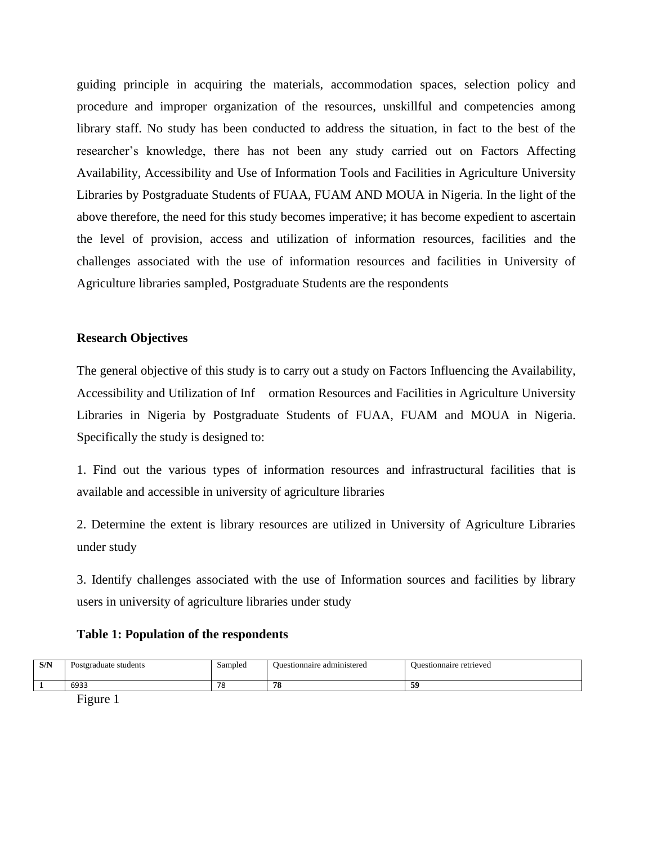guiding principle in acquiring the materials, accommodation spaces, selection policy and procedure and improper organization of the resources, unskillful and competencies among library staff. No study has been conducted to address the situation, in fact to the best of the researcher's knowledge, there has not been any study carried out on Factors Affecting Availability, Accessibility and Use of Information Tools and Facilities in Agriculture University Libraries by Postgraduate Students of FUAA, FUAM AND MOUA in Nigeria. In the light of the above therefore, the need for this study becomes imperative; it has become expedient to ascertain the level of provision, access and utilization of information resources, facilities and the challenges associated with the use of information resources and facilities in University of Agriculture libraries sampled, Postgraduate Students are the respondents

### **Research Objectives**

The general objective of this study is to carry out a study on Factors Influencing the Availability, Accessibility and Utilization of Inf ormation Resources and Facilities in Agriculture University Libraries in Nigeria by Postgraduate Students of FUAA, FUAM and MOUA in Nigeria. Specifically the study is designed to:

1. Find out the various types of information resources and infrastructural facilities that is available and accessible in university of agriculture libraries

2. Determine the extent is library resources are utilized in University of Agriculture Libraries under study

3. Identify challenges associated with the use of Information sources and facilities by library users in university of agriculture libraries under study

### **Table 1: Population of the respondents**

| C/N<br><b>DIT</b><br>. . | students<br>Postgraduate<br>. | Sampled<br>$\sim$ | administered<br><b>Juestionnaire</b> | <b>Ouestionnaire retrieved</b><br>$\sim$ $\sim$ |
|--------------------------|-------------------------------|-------------------|--------------------------------------|-------------------------------------------------|
|                          | 6933                          | 70<br>. .         | 78                                   | 50<br>ັ                                         |
|                          | ____                          |                   |                                      |                                                 |

Figure 1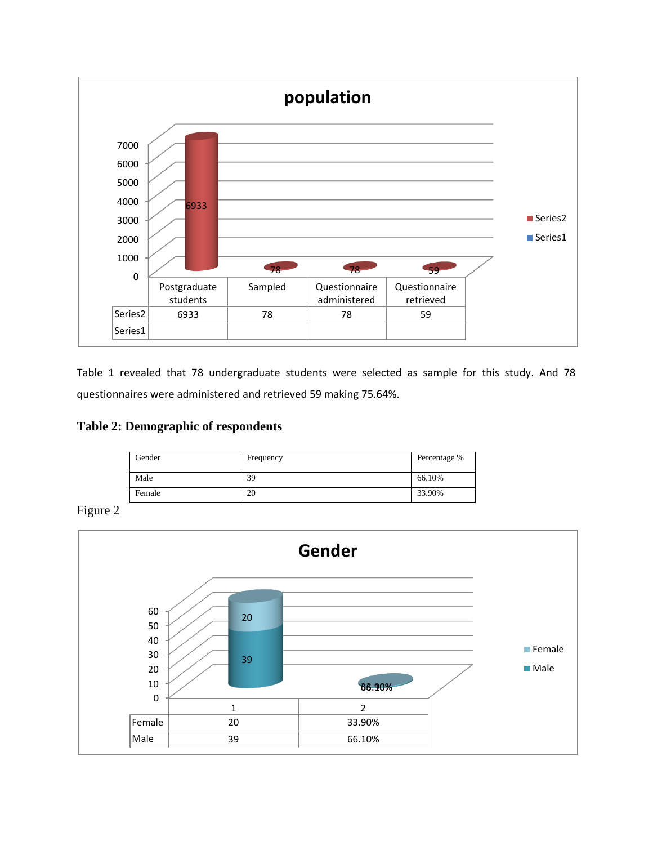

Table 1 revealed that 78 undergraduate students were selected as sample for this study. And 78 questionnaires were administered and retrieved 59 making 75.64%.

## **Table 2: Demographic of respondents**

| Gender | Frequency | Percentage % |
|--------|-----------|--------------|
| Male   | 39        | 66.10%       |
| Female | 20        | 33.90%       |

Figure 2

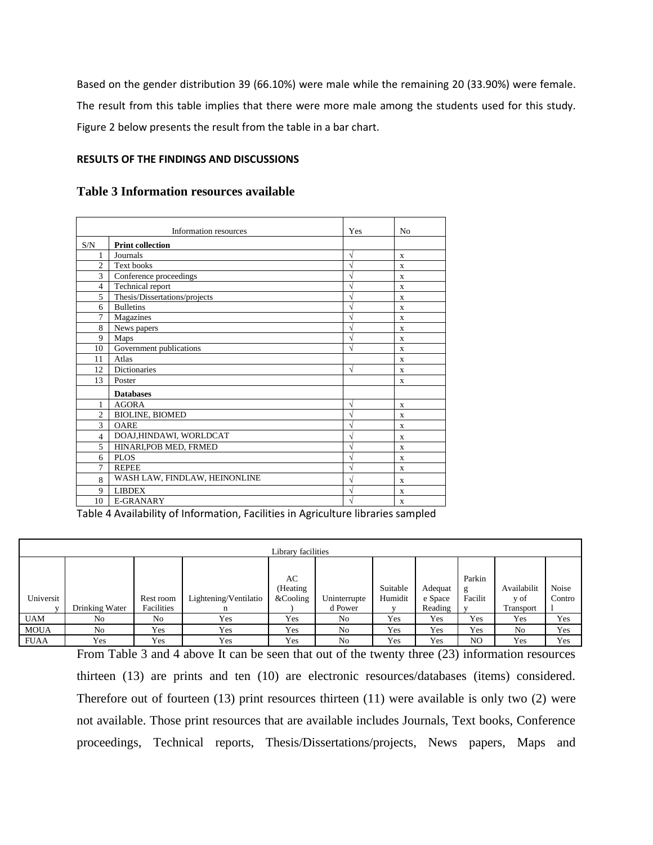Based on the gender distribution 39 (66.10%) were male while the remaining 20 (33.90%) were female. The result from this table implies that there were more male among the students used for this study. Figure 2 below presents the result from the table in a bar chart.

### **RESULTS OF THE FINDINGS AND DISCUSSIONS**

|  | <b>Table 3 Information resources available</b> |  |  |
|--|------------------------------------------------|--|--|
|--|------------------------------------------------|--|--|

|                | Information resources         | Yes | N <sub>o</sub> |
|----------------|-------------------------------|-----|----------------|
| S/N            | <b>Print collection</b>       |     |                |
| 1              | Journals                      | N   | X              |
| $\overline{2}$ | <b>Text books</b>             | N   | X              |
| 3              | Conference proceedings        | ٦   | X              |
| $\overline{4}$ | Technical report              |     | X              |
| 5              | Thesis/Dissertations/projects | ٦   | $\mathbf x$    |
| 6              | <b>Bulletins</b>              |     | X              |
| $\overline{7}$ | Magazines                     |     | X              |
| 8              | News papers                   | ٦   | X              |
| 9              | Maps                          | ٦   | X              |
| 10             | Government publications       |     | X              |
| 11             | Atlas                         |     | X              |
| 12             | <b>Dictionaries</b>           | N   | X              |
| 13             | Poster                        |     | X              |
|                | <b>Databases</b>              |     |                |
| 1              | <b>AGORA</b>                  | ٦   | X              |
| $\overline{c}$ | <b>BIOLINE, BIOMED</b>        |     | X              |
| 3              | <b>OARE</b>                   | ٦   | X              |
| $\overline{4}$ | DOAJ,HINDAWI, WORLDCAT        | ٦   | X              |
| 5              | HINARI, POB MED, FRMED        |     | X              |
| 6              | <b>PLOS</b>                   |     | X              |
| 7              | <b>REPEE</b>                  | À   | X              |
| 8              | WASH LAW, FINDLAW, HEINONLINE | ٦   | X              |
| 9              | <b>LIBDEX</b>                 | ٦   | X              |
| 10             | E-GRANARY                     |     | X              |

Table 4 Availability of Information, Facilities in Agriculture libraries sampled

|             | Library facilities |                         |                       |                               |                         |                     |                               |                        |                                  |                 |  |
|-------------|--------------------|-------------------------|-----------------------|-------------------------------|-------------------------|---------------------|-------------------------------|------------------------|----------------------------------|-----------------|--|
| Universit   | Drinking Water     | Rest room<br>Facilities | Lightening/Ventilatio | AC<br>(Heating<br>$&$ Cooling | Uninterrupte<br>d Power | Suitable<br>Humidit | Adequat<br>e Space<br>Reading | Parkin<br>g<br>Facilit | Availabilit<br>y of<br>Transport | Noise<br>Contro |  |
| <b>UAM</b>  | No                 | No                      | Yes                   | Yes                           | No                      | Yes                 | Yes                           | Yes                    | Yes                              | Yes             |  |
| <b>MOUA</b> | No                 | Yes                     | Yes                   | Yes                           | N <sub>0</sub>          | Yes                 | Yes                           | Yes                    | N <sub>o</sub>                   | Yes             |  |
| <b>FUAA</b> | Yes                | Yes                     | Yes                   | Yes                           | N <sub>0</sub>          | Yes                 | Yes                           | N <sub>O</sub>         | Yes                              | Yes             |  |

From Table 3 and 4 above It can be seen that out of the twenty three (23) information resources thirteen (13) are prints and ten (10) are electronic resources/databases (items) considered. Therefore out of fourteen (13) print resources thirteen (11) were available is only two (2) were not available. Those print resources that are available includes Journals, Text books, Conference proceedings, Technical reports, Thesis/Dissertations/projects, News papers, Maps and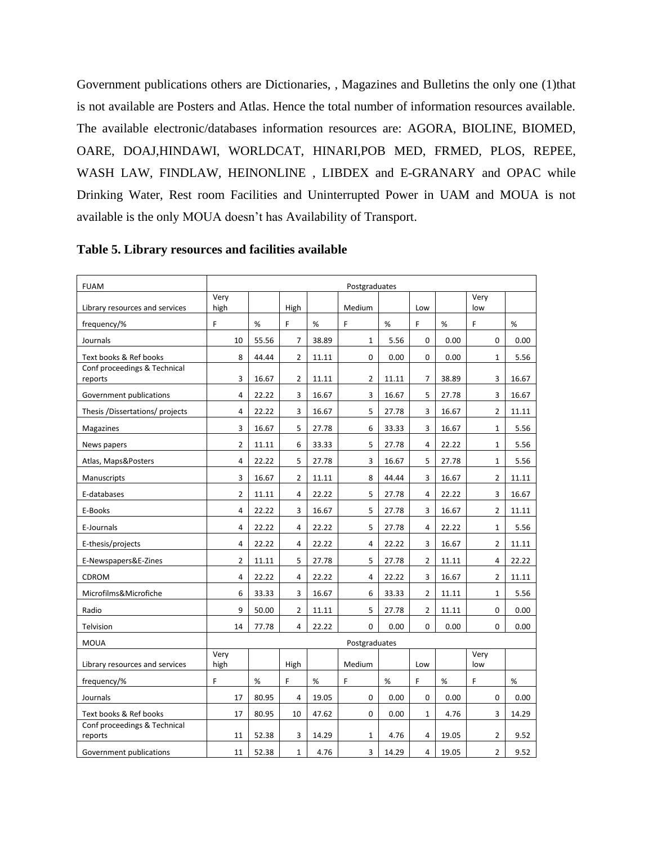Government publications others are Dictionaries, , Magazines and Bulletins the only one (1)that is not available are Posters and Atlas. Hence the total number of information resources available. The available electronic/databases information resources are: AGORA, BIOLINE, BIOMED, OARE, DOAJ,HINDAWI, WORLDCAT, HINARI,POB MED, FRMED, PLOS, REPEE, WASH LAW, FINDLAW, HEINONLINE , LIBDEX and E-GRANARY and OPAC while Drinking Water, Rest room Facilities and Uninterrupted Power in UAM and MOUA is not available is the only MOUA doesn't has Availability of Transport.

| <b>FUAM</b>                             | Postgraduates  |       |                |       |                |       |                |       |                |       |
|-----------------------------------------|----------------|-------|----------------|-------|----------------|-------|----------------|-------|----------------|-------|
|                                         | Very           |       |                |       | Medium         |       | Low            |       | Very<br>low    |       |
| Library resources and services          | high<br>F      |       | High<br>F      |       | F              | %     | F              | %     | F              | %     |
| frequency/%                             |                | %     |                | %     |                |       |                |       |                |       |
| Journals                                | 10             | 55.56 | $\overline{7}$ | 38.89 | $\mathbf 1$    | 5.56  | 0              | 0.00  | 0              | 0.00  |
| Text books & Ref books                  | 8              | 44.44 | $\overline{2}$ | 11.11 | 0              | 0.00  | 0              | 0.00  | $\mathbf{1}$   | 5.56  |
| Conf proceedings & Technical<br>reports | 3              | 16.67 | $\overline{2}$ | 11.11 | $\overline{2}$ | 11.11 | $\overline{7}$ | 38.89 | 3              | 16.67 |
| Government publications                 | 4              | 22.22 | 3              | 16.67 | 3              | 16.67 | 5              | 27.78 | 3              | 16.67 |
| Thesis /Dissertations/ projects         | $\overline{4}$ | 22.22 | 3              | 16.67 | 5              | 27.78 | 3              | 16.67 | $\overline{2}$ | 11.11 |
| Magazines                               | 3              | 16.67 | 5              | 27.78 | 6              | 33.33 | 3              | 16.67 | $\mathbf{1}$   | 5.56  |
| News papers                             | $\overline{2}$ | 11.11 | 6              | 33.33 | 5              | 27.78 | 4              | 22.22 | $\mathbf{1}$   | 5.56  |
| Atlas, Maps&Posters                     | $\overline{4}$ | 22.22 | 5              | 27.78 | 3              | 16.67 | 5              | 27.78 | $\mathbf{1}$   | 5.56  |
| Manuscripts                             | 3              | 16.67 | $\overline{2}$ | 11.11 | 8              | 44.44 | 3              | 16.67 | $\overline{2}$ | 11.11 |
| E-databases                             | 2              | 11.11 | 4              | 22.22 | 5              | 27.78 | 4              | 22.22 | 3              | 16.67 |
| E-Books                                 | $\overline{4}$ | 22.22 | 3              | 16.67 | 5              | 27.78 | 3              | 16.67 | $\overline{2}$ | 11.11 |
| E-Journals                              | 4              | 22.22 | 4              | 22.22 | 5              | 27.78 | 4              | 22.22 | $\mathbf{1}$   | 5.56  |
| E-thesis/projects                       | $\overline{4}$ | 22.22 | 4              | 22.22 | 4              | 22.22 | 3              | 16.67 | $\overline{2}$ | 11.11 |
| E-Newspapers&E-Zines                    | $\overline{2}$ | 11.11 | 5              | 27.78 | 5              | 27.78 | $\overline{2}$ | 11.11 | 4              | 22.22 |
| CDROM                                   | 4              | 22.22 | $\overline{4}$ | 22.22 | 4              | 22.22 | 3              | 16.67 | $\overline{2}$ | 11.11 |
| Microfilms&Microfiche                   | 6              | 33.33 | 3              | 16.67 | 6              | 33.33 | $\overline{2}$ | 11.11 | $\mathbf{1}$   | 5.56  |
| Radio                                   | 9              | 50.00 | $\overline{2}$ | 11.11 | 5              | 27.78 | $\overline{2}$ | 11.11 | 0              | 0.00  |
| Telvision                               | 14             | 77.78 | 4              | 22.22 | 0              | 0.00  | $\Omega$       | 0.00  | $\Omega$       | 0.00  |
| <b>MOUA</b>                             |                |       |                |       | Postgraduates  |       |                |       |                |       |
| Library resources and services          | Very<br>high   |       | High           |       | Medium         |       | Low            |       | Very<br>low    |       |
| frequency/%                             | F              | $\%$  | F              | %     | F              | %     | F              | %     | F              | %     |
| Journals                                | 17             | 80.95 | 4              | 19.05 | 0              | 0.00  | 0              | 0.00  | 0              | 0.00  |
| Text books & Ref books                  | 17             | 80.95 | 10             | 47.62 | 0              | 0.00  | $\mathbf{1}$   | 4.76  | 3              | 14.29 |
| Conf proceedings & Technical            |                |       | 3              |       |                |       | 4              |       | $\overline{2}$ | 9.52  |
| reports                                 | 11             | 52.38 |                | 14.29 | 1              | 4.76  |                | 19.05 |                |       |
| Government publications                 | 11             | 52.38 | $\mathbf{1}$   | 4.76  | 3              | 14.29 | 4              | 19.05 | $\overline{2}$ | 9.52  |

**Table 5. Library resources and facilities available**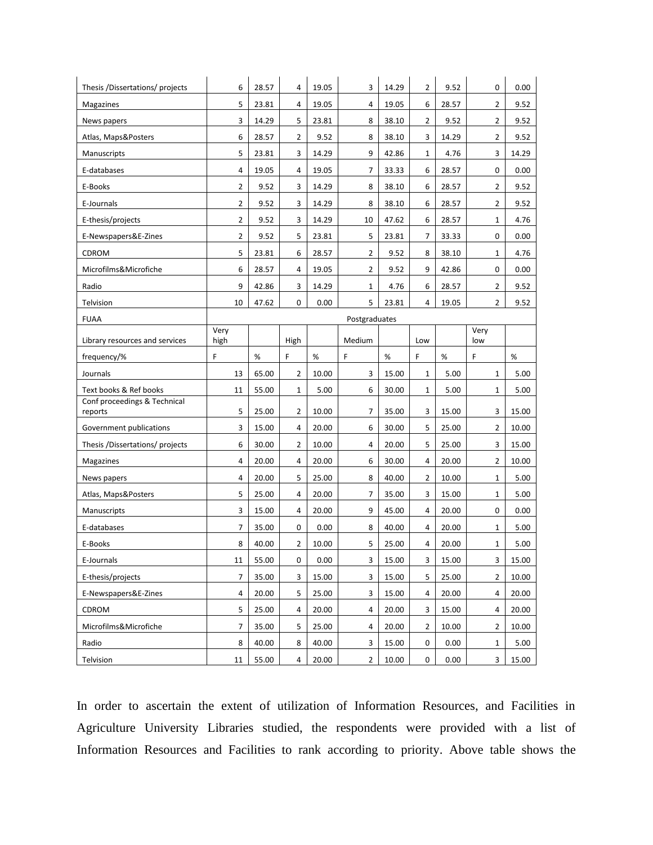| Thesis /Dissertations/ projects         | 6            | 28.57 | 4            | 19.05 | 3              | 14.29 | $\overline{2}$ | 9.52  | 0              | 0.00  |
|-----------------------------------------|--------------|-------|--------------|-------|----------------|-------|----------------|-------|----------------|-------|
| <b>Magazines</b>                        | 5            | 23.81 | 4            | 19.05 | 4              | 19.05 | 6              | 28.57 | 2              | 9.52  |
| News papers                             | 3            | 14.29 | 5            | 23.81 | 8              | 38.10 | $\overline{2}$ | 9.52  | $\overline{2}$ | 9.52  |
| Atlas, Maps&Posters                     | 6            | 28.57 | 2            | 9.52  | 8              | 38.10 | 3              | 14.29 | 2              | 9.52  |
| Manuscripts                             | 5            | 23.81 | 3            | 14.29 | 9              | 42.86 | 1              | 4.76  | 3              | 14.29 |
| E-databases                             | 4            | 19.05 | 4            | 19.05 | 7              | 33.33 | 6              | 28.57 | 0              | 0.00  |
| E-Books                                 | 2            | 9.52  | 3            | 14.29 | 8              | 38.10 | 6              | 28.57 | 2              | 9.52  |
| E-Journals                              | 2            | 9.52  | 3            | 14.29 | 8              | 38.10 | 6              | 28.57 | 2              | 9.52  |
| E-thesis/projects                       | 2            | 9.52  | 3            | 14.29 | 10             | 47.62 | 6              | 28.57 | $\mathbf{1}$   | 4.76  |
| E-Newspapers&E-Zines                    | 2            | 9.52  | 5            | 23.81 | 5              | 23.81 | $\overline{7}$ | 33.33 | 0              | 0.00  |
| CDROM                                   | 5            | 23.81 | 6            | 28.57 | 2              | 9.52  | 8              | 38.10 | $\mathbf{1}$   | 4.76  |
| Microfilms&Microfiche                   | 6            | 28.57 | 4            | 19.05 | 2              | 9.52  | 9              | 42.86 | 0              | 0.00  |
| Radio                                   | 9            | 42.86 | 3            | 14.29 | 1              | 4.76  | 6              | 28.57 | $\overline{2}$ | 9.52  |
| Telvision                               | 10           | 47.62 | 0            | 0.00  | 5              | 23.81 | 4              | 19.05 | $\overline{2}$ | 9.52  |
| <b>FUAA</b>                             |              |       |              |       | Postgraduates  |       |                |       |                |       |
| Library resources and services          | Very<br>high |       | High         |       | Medium         |       | Low            |       | Very<br>low    |       |
| frequency/%                             | F            | $\%$  | F            | $\%$  | F              | $\%$  | F              | $\%$  | F              | $\%$  |
| Journals                                | 13           | 65.00 | 2            | 10.00 | 3              | 15.00 | 1              | 5.00  | $\mathbf{1}$   | 5.00  |
| Text books & Ref books                  | 11           | 55.00 | $\mathbf{1}$ | 5.00  | 6              | 30.00 | $\mathbf{1}$   | 5.00  | $\mathbf{1}$   | 5.00  |
| Conf proceedings & Technical<br>reports | 5            | 25.00 | 2            | 10.00 | 7              | 35.00 | 3              | 15.00 | 3              | 15.00 |
| Government publications                 | 3            | 15.00 | 4            | 20.00 | 6              | 30.00 | 5              | 25.00 | 2              | 10.00 |
| Thesis /Dissertations/ projects         | 6            | 30.00 | 2            | 10.00 | 4              | 20.00 | 5              | 25.00 | 3              | 15.00 |
| Magazines                               | 4            | 20.00 | 4            | 20.00 | 6              | 30.00 | 4              | 20.00 | $\overline{2}$ | 10.00 |
| News papers                             | 4            | 20.00 | 5            | 25.00 | 8              | 40.00 | $\overline{2}$ | 10.00 | $\mathbf{1}$   | 5.00  |
| Atlas, Maps&Posters                     | 5            | 25.00 | 4            | 20.00 | 7              | 35.00 | 3              | 15.00 | 1              | 5.00  |
| Manuscripts                             | 3            | 15.00 | 4            | 20.00 | 9              | 45.00 | 4              | 20.00 | 0              | 0.00  |
| E-databases                             | 7            | 35.00 | 0            | 0.00  | 8              | 40.00 | 4              | 20.00 | $\mathbf{1}$   | 5.00  |
| E-Books                                 | 8            | 40.00 | 2            | 10.00 | 5              | 25.00 | 4              | 20.00 | 1              | 5.00  |
| E-Journals                              | 11           | 55.00 | 0            | 0.00  | 3              | 15.00 | 3              | 15.00 | 3              | 15.00 |
| E-thesis/projects                       | 7            | 35.00 | 3            | 15.00 | 3              | 15.00 | 5              | 25.00 | 2              | 10.00 |
| E-Newspapers&E-Zines                    | 4            | 20.00 | 5            | 25.00 | 3              | 15.00 | 4              | 20.00 | 4              | 20.00 |
| CDROM                                   | 5            | 25.00 | 4            | 20.00 | 4              | 20.00 | 3              | 15.00 | 4              | 20.00 |
| Microfilms&Microfiche                   | 7            | 35.00 | 5            | 25.00 | 4              | 20.00 | $\overline{2}$ | 10.00 | $\overline{2}$ | 10.00 |
| Radio                                   | 8            | 40.00 | 8            | 40.00 | 3              | 15.00 | 0              | 0.00  | $\mathbf 1$    | 5.00  |
| Telvision                               | $11\,$       | 55.00 | 4            | 20.00 | $\overline{2}$ | 10.00 | 0              | 0.00  | 3              | 15.00 |

In order to ascertain the extent of utilization of Information Resources, and Facilities in Agriculture University Libraries studied, the respondents were provided with a list of Information Resources and Facilities to rank according to priority. Above table shows the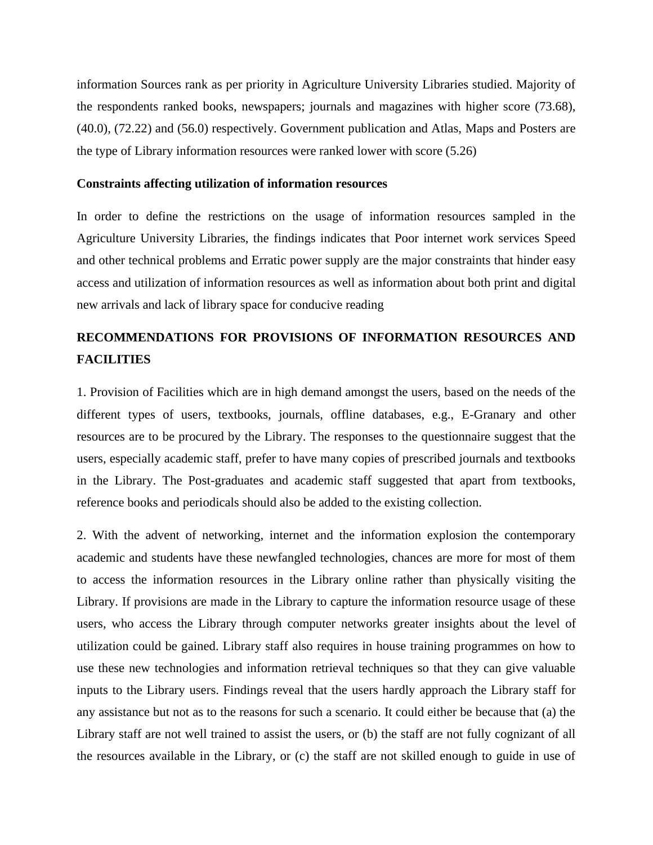information Sources rank as per priority in Agriculture University Libraries studied. Majority of the respondents ranked books, newspapers; journals and magazines with higher score (73.68), (40.0), (72.22) and (56.0) respectively. Government publication and Atlas, Maps and Posters are the type of Library information resources were ranked lower with score (5.26)

#### **Constraints affecting utilization of information resources**

In order to define the restrictions on the usage of information resources sampled in the Agriculture University Libraries, the findings indicates that Poor internet work services Speed and other technical problems and Erratic power supply are the major constraints that hinder easy access and utilization of information resources as well as information about both print and digital new arrivals and lack of library space for conducive reading

# **RECOMMENDATIONS FOR PROVISIONS OF INFORMATION RESOURCES AND FACILITIES**

1. Provision of Facilities which are in high demand amongst the users, based on the needs of the different types of users, textbooks, journals, offline databases, e.g., E-Granary and other resources are to be procured by the Library. The responses to the questionnaire suggest that the users, especially academic staff, prefer to have many copies of prescribed journals and textbooks in the Library. The Post-graduates and academic staff suggested that apart from textbooks, reference books and periodicals should also be added to the existing collection.

2. With the advent of networking, internet and the information explosion the contemporary academic and students have these newfangled technologies, chances are more for most of them to access the information resources in the Library online rather than physically visiting the Library. If provisions are made in the Library to capture the information resource usage of these users, who access the Library through computer networks greater insights about the level of utilization could be gained. Library staff also requires in house training programmes on how to use these new technologies and information retrieval techniques so that they can give valuable inputs to the Library users. Findings reveal that the users hardly approach the Library staff for any assistance but not as to the reasons for such a scenario. It could either be because that (a) the Library staff are not well trained to assist the users, or (b) the staff are not fully cognizant of all the resources available in the Library, or (c) the staff are not skilled enough to guide in use of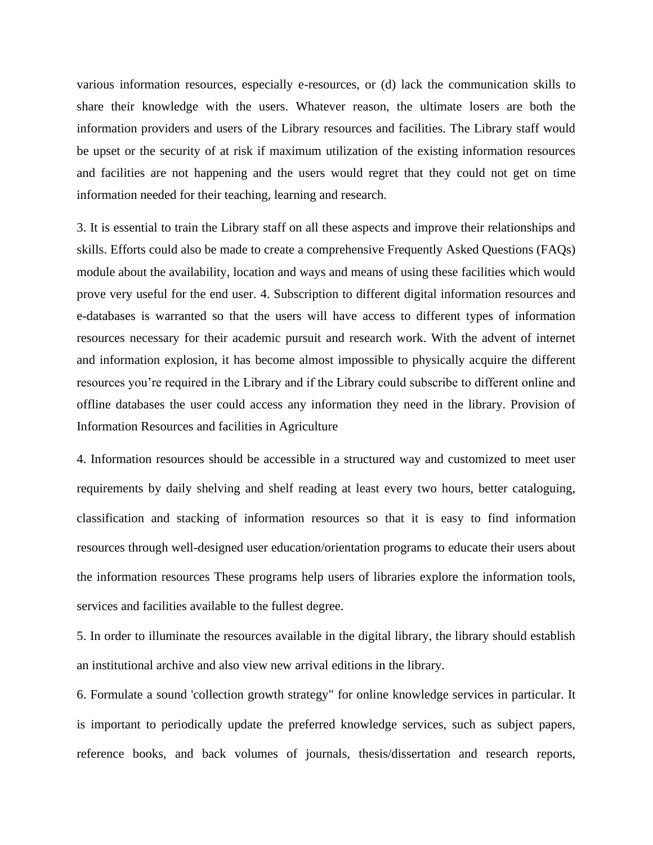various information resources, especially e-resources, or (d) lack the communication skills to share their knowledge with the users. Whatever reason, the ultimate losers are both the information providers and users of the Library resources and facilities. The Library staff would be upset or the security of at risk if maximum utilization of the existing information resources and facilities are not happening and the users would regret that they could not get on time information needed for their teaching, learning and research.

3. It is essential to train the Library staff on all these aspects and improve their relationships and skills. Efforts could also be made to create a comprehensive Frequently Asked Questions (FAQs) module about the availability, location and ways and means of using these facilities which would prove very useful for the end user. 4. Subscription to different digital information resources and e-databases is warranted so that the users will have access to different types of information resources necessary for their academic pursuit and research work. With the advent of internet and information explosion, it has become almost impossible to physically acquire the different resources you're required in the Library and if the Library could subscribe to different online and offline databases the user could access any information they need in the library. Provision of Information Resources and facilities in Agriculture

4. Information resources should be accessible in a structured way and customized to meet user requirements by daily shelving and shelf reading at least every two hours, better cataloguing, classification and stacking of information resources so that it is easy to find information resources through well-designed user education/orientation programs to educate their users about the information resources These programs help users of libraries explore the information tools, services and facilities available to the fullest degree.

5. In order to illuminate the resources available in the digital library, the library should establish an institutional archive and also view new arrival editions in the library.

6. Formulate a sound 'collection growth strategy" for online knowledge services in particular. It is important to periodically update the preferred knowledge services, such as subject papers, reference books, and back volumes of journals, thesis/dissertation and research reports,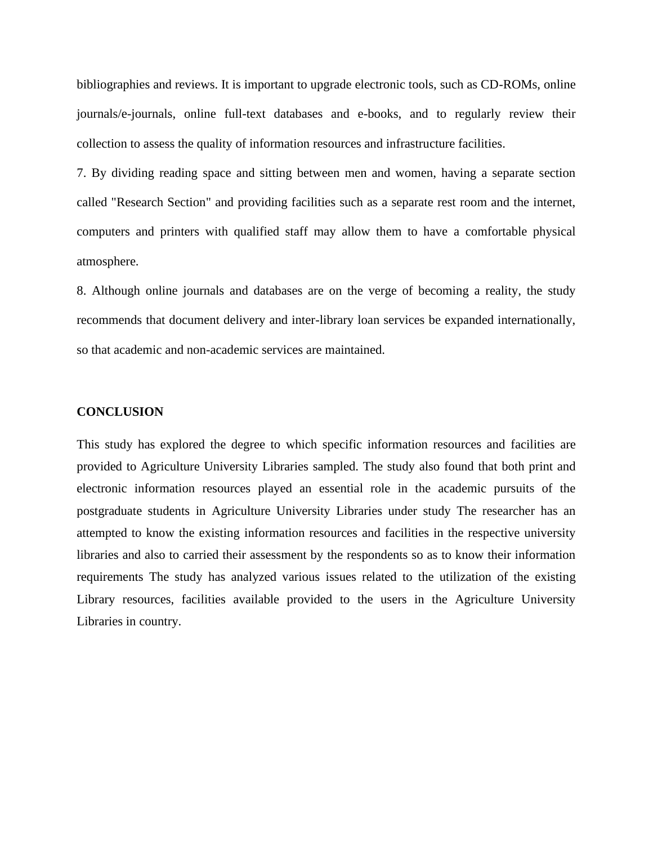bibliographies and reviews. It is important to upgrade electronic tools, such as CD-ROMs, online journals/e-journals, online full-text databases and e-books, and to regularly review their collection to assess the quality of information resources and infrastructure facilities.

7. By dividing reading space and sitting between men and women, having a separate section called "Research Section" and providing facilities such as a separate rest room and the internet, computers and printers with qualified staff may allow them to have a comfortable physical atmosphere.

8. Although online journals and databases are on the verge of becoming a reality, the study recommends that document delivery and inter-library loan services be expanded internationally, so that academic and non-academic services are maintained.

#### **CONCLUSION**

This study has explored the degree to which specific information resources and facilities are provided to Agriculture University Libraries sampled. The study also found that both print and electronic information resources played an essential role in the academic pursuits of the postgraduate students in Agriculture University Libraries under study The researcher has an attempted to know the existing information resources and facilities in the respective university libraries and also to carried their assessment by the respondents so as to know their information requirements The study has analyzed various issues related to the utilization of the existing Library resources, facilities available provided to the users in the Agriculture University Libraries in country.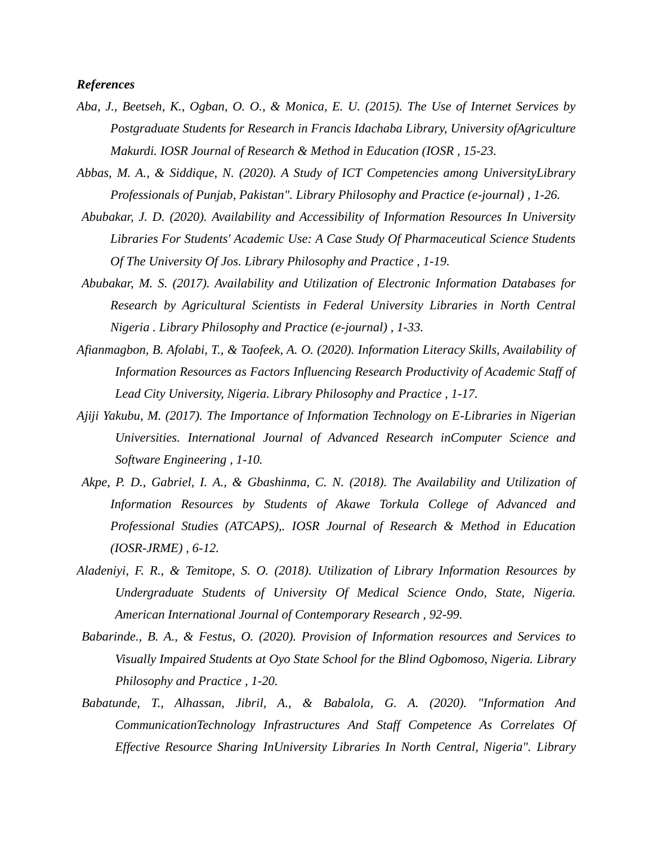#### *References*

- *Aba, J., Beetseh, K., Ogban, O. O., & Monica, E. U. (2015). The Use of Internet Services by Postgraduate Students for Research in Francis Idachaba Library, University ofAgriculture Makurdi. IOSR Journal of Research & Method in Education (IOSR , 15-23.*
- *Abbas, M. A., & Siddique, N. (2020). A Study of ICT Competencies among UniversityLibrary Professionals of Punjab, Pakistan". Library Philosophy and Practice (e-journal) , 1-26.*
- *Abubakar, J. D. (2020). Availability and Accessibility of Information Resources In University Libraries For Students' Academic Use: A Case Study Of Pharmaceutical Science Students Of The University Of Jos. Library Philosophy and Practice , 1-19.*
- *Abubakar, M. S. (2017). Availability and Utilization of Electronic Information Databases for Research by Agricultural Scientists in Federal University Libraries in North Central Nigeria . Library Philosophy and Practice (e-journal) , 1-33.*
- *Afianmagbon, B. Afolabi, T., & Taofeek, A. O. (2020). Information Literacy Skills, Availability of Information Resources as Factors Influencing Research Productivity of Academic Staff of Lead City University, Nigeria. Library Philosophy and Practice , 1-17.*
- *Ajiji Yakubu, M. (2017). The Importance of Information Technology on E-Libraries in Nigerian Universities. International Journal of Advanced Research inComputer Science and Software Engineering , 1-10.*
- *Akpe, P. D., Gabriel, I. A., & Gbashinma, C. N. (2018). The Availability and Utilization of Information Resources by Students of Akawe Torkula College of Advanced and Professional Studies (ATCAPS),. IOSR Journal of Research & Method in Education (IOSR-JRME) , 6-12.*
- *Aladeniyi, F. R., & Temitope, S. O. (2018). Utilization of Library Information Resources by Undergraduate Students of University Of Medical Science Ondo, State, Nigeria. American International Journal of Contemporary Research , 92-99.*
- *Babarinde., B. A., & Festus, O. (2020). Provision of Information resources and Services to Visually Impaired Students at Oyo State School for the Blind Ogbomoso, Nigeria. Library Philosophy and Practice , 1-20.*
- *Babatunde, T., Alhassan, Jibril, A., & Babalola, G. A. (2020). "Information And CommunicationTechnology Infrastructures And Staff Competence As Correlates Of Effective Resource Sharing InUniversity Libraries In North Central, Nigeria". Library*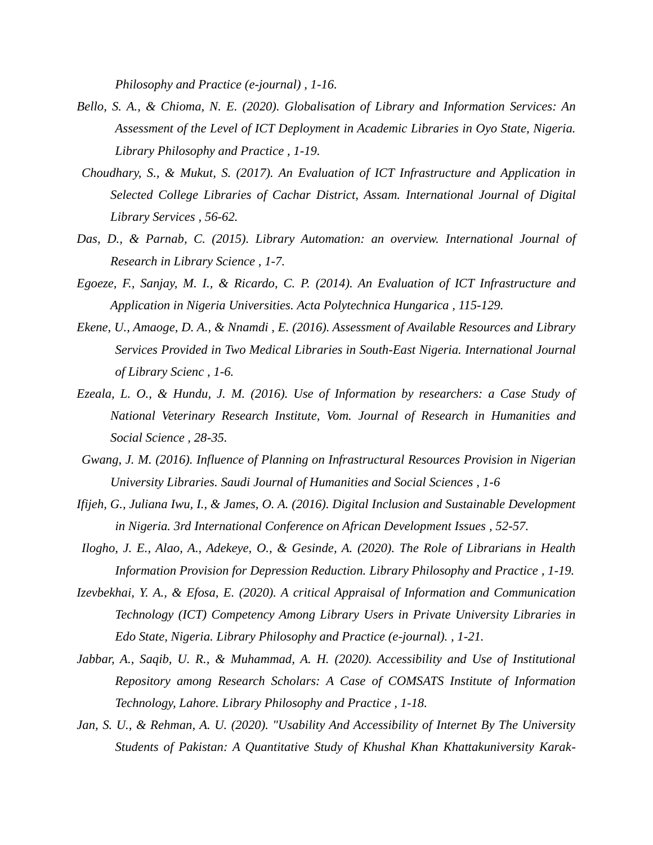*Philosophy and Practice (e-journal) , 1-16.*

- *Bello, S. A., & Chioma, N. E. (2020). Globalisation of Library and Information Services: An Assessment of the Level of ICT Deployment in Academic Libraries in Oyo State, Nigeria. Library Philosophy and Practice , 1-19.*
- *Choudhary, S., & Mukut, S. (2017). An Evaluation of ICT Infrastructure and Application in Selected College Libraries of Cachar District, Assam. International Journal of Digital Library Services , 56-62.*
- *Das, D., & Parnab, C. (2015). Library Automation: an overview. International Journal of Research in Library Science , 1-7.*
- *Egoeze, F., Sanjay, M. I., & Ricardo, C. P. (2014). An Evaluation of ICT Infrastructure and Application in Nigeria Universities. Acta Polytechnica Hungarica , 115-129.*
- *Ekene, U., Amaoge, D. A., & Nnamdi , E. (2016). Assessment of Available Resources and Library Services Provided in Two Medical Libraries in South-East Nigeria. International Journal of Library Scienc , 1-6.*
- *Ezeala, L. O., & Hundu, J. M. (2016). Use of Information by researchers: a Case Study of National Veterinary Research Institute, Vom. Journal of Research in Humanities and Social Science , 28-35.*
- *Gwang, J. M. (2016). Influence of Planning on Infrastructural Resources Provision in Nigerian University Libraries. Saudi Journal of Humanities and Social Sciences , 1-6*
- *Ifijeh, G., Juliana Iwu, I., & James, O. A. (2016). Digital Inclusion and Sustainable Development in Nigeria. 3rd International Conference on African Development Issues , 52-57.*
- *Ilogho, J. E., Alao, A., Adekeye, O., & Gesinde, A. (2020). The Role of Librarians in Health Information Provision for Depression Reduction. Library Philosophy and Practice , 1-19.*
- *Izevbekhai, Y. A., & Efosa, E. (2020). A critical Appraisal of Information and Communication Technology (ICT) Competency Among Library Users in Private University Libraries in Edo State, Nigeria. Library Philosophy and Practice (e-journal). , 1-21.*
- Jabbar, A., Saqib, U. R., & Muhammad, A. H. (2020). Accessibility and Use of Institutional *Repository among Research Scholars: A Case of COMSATS Institute of Information Technology, Lahore. Library Philosophy and Practice , 1-18.*
- *Jan, S. U., & Rehman, A. U. (2020). "Usability And Accessibility of Internet By The University Students of Pakistan: A Quantitative Study of Khushal Khan Khattakuniversity Karak-*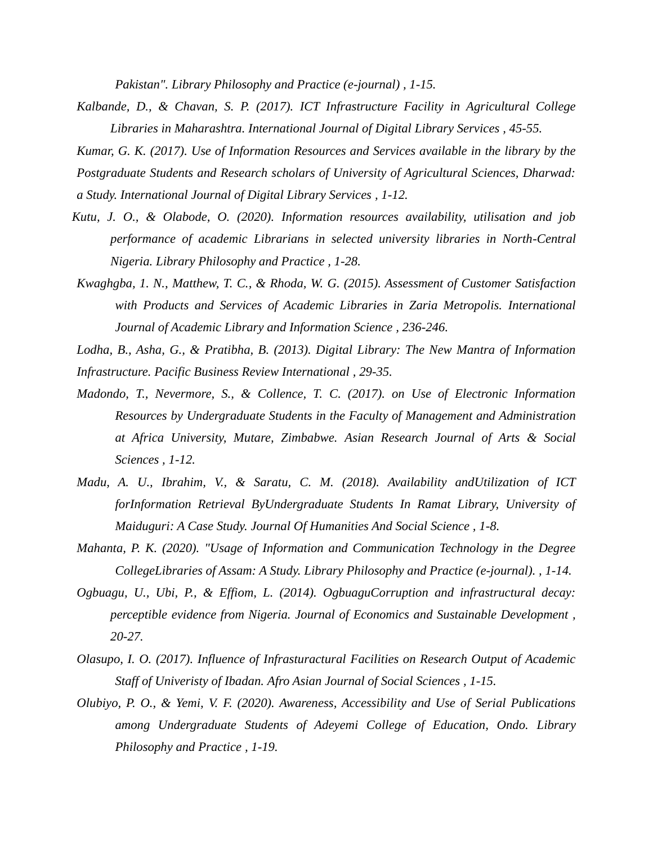*Pakistan". Library Philosophy and Practice (e-journal) , 1-15.*

- *Kalbande, D., & Chavan, S. P. (2017). ICT Infrastructure Facility in Agricultural College Libraries in Maharashtra. International Journal of Digital Library Services , 45-55.*
- *Kumar, G. K. (2017). Use of Information Resources and Services available in the library by the Postgraduate Students and Research scholars of University of Agricultural Sciences, Dharwad: a Study. International Journal of Digital Library Services , 1-12.*
- *Kutu, J. O., & Olabode, O. (2020). Information resources availability, utilisation and job performance of academic Librarians in selected university libraries in North-Central Nigeria. Library Philosophy and Practice , 1-28.*
- *Kwaghgba, 1. N., Matthew, T. C., & Rhoda, W. G. (2015). Assessment of Customer Satisfaction with Products and Services of Academic Libraries in Zaria Metropolis. International Journal of Academic Library and Information Science , 236-246.*
- *Lodha, B., Asha, G., & Pratibha, B. (2013). Digital Library: The New Mantra of Information Infrastructure. Pacific Business Review International , 29-35.*
- *Madondo, T., Nevermore, S., & Collence, T. C. (2017). on Use of Electronic Information Resources by Undergraduate Students in the Faculty of Management and Administration at Africa University, Mutare, Zimbabwe. Asian Research Journal of Arts & Social Sciences , 1-12.*
- *Madu, A. U., Ibrahim, V., & Saratu, C. M. (2018). Availability andUtilization of ICT forInformation Retrieval ByUndergraduate Students In Ramat Library, University of Maiduguri: A Case Study. Journal Of Humanities And Social Science , 1-8.*
- *Mahanta, P. K. (2020). "Usage of Information and Communication Technology in the Degree CollegeLibraries of Assam: A Study. Library Philosophy and Practice (e-journal). , 1-14.*
- *Ogbuagu, U., Ubi, P., & Effiom, L. (2014). OgbuaguCorruption and infrastructural decay: perceptible evidence from Nigeria. Journal of Economics and Sustainable Development , 20-27.*
- *Olasupo, I. O. (2017). Influence of Infrasturactural Facilities on Research Output of Academic Staff of Univeristy of Ibadan. Afro Asian Journal of Social Sciences , 1-15.*
- *Olubiyo, P. O., & Yemi, V. F. (2020). Awareness, Accessibility and Use of Serial Publications among Undergraduate Students of Adeyemi College of Education, Ondo. Library Philosophy and Practice , 1-19.*